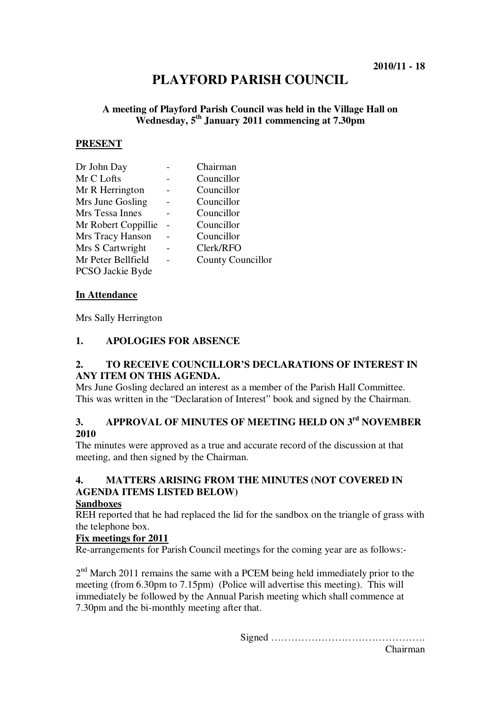# **PLAYFORD PARISH COUNCIL**

# **A meeting of Playford Parish Council was held in the Village Hall on Wednesday, 5th January 2011 commencing at 7.30pm**

#### **PRESENT**

| Dr John Day         | Chairman                 |
|---------------------|--------------------------|
| Mr C Lofts          | Councillor               |
| Mr R Herrington     | Councillor               |
| Mrs June Gosling    | Councillor               |
| Mrs Tessa Innes     | Councillor               |
| Mr Robert Coppillie | Councillor               |
| Mrs Tracy Hanson    | Councillor               |
| Mrs S Cartwright    | Clerk/RFO                |
| Mr Peter Bellfield  | <b>County Councillor</b> |
| PCSO Jackie Byde    |                          |

#### **In Attendance**

Mrs Sally Herrington

#### **1. APOLOGIES FOR ABSENCE**

#### **2. TO RECEIVE COUNCILLOR'S DECLARATIONS OF INTEREST IN ANY ITEM ON THIS AGENDA.**

Mrs June Gosling declared an interest as a member of the Parish Hall Committee. This was written in the "Declaration of Interest" book and signed by the Chairman.

# **3. APPROVAL OF MINUTES OF MEETING HELD ON 3rd NOVEMBER 2010**

The minutes were approved as a true and accurate record of the discussion at that meeting, and then signed by the Chairman.

# **4. MATTERS ARISING FROM THE MINUTES (NOT COVERED IN AGENDA ITEMS LISTED BELOW)**

#### **Sandboxes**

REH reported that he had replaced the lid for the sandbox on the triangle of grass with the telephone box.

#### **Fix meetings for 2011**

Re-arrangements for Parish Council meetings for the coming year are as follows:-

2<sup>nd</sup> March 2011 remains the same with a PCEM being held immediately prior to the meeting (from 6.30pm to 7.15pm) (Police will advertise this meeting). This will immediately be followed by the Annual Parish meeting which shall commence at 7.30pm and the bi-monthly meeting after that.

Signed ……………………………………….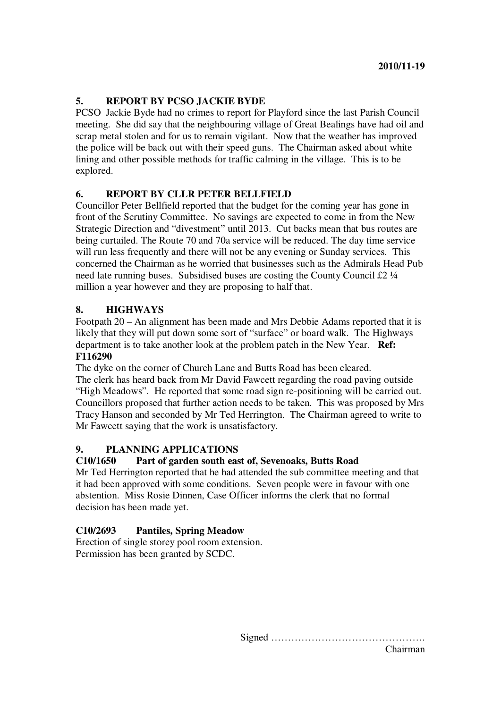# **5. REPORT BY PCSO JACKIE BYDE**

PCSO Jackie Byde had no crimes to report for Playford since the last Parish Council meeting. She did say that the neighbouring village of Great Bealings have had oil and scrap metal stolen and for us to remain vigilant. Now that the weather has improved the police will be back out with their speed guns. The Chairman asked about white lining and other possible methods for traffic calming in the village. This is to be explored.

# **6. REPORT BY CLLR PETER BELLFIELD**

Councillor Peter Bellfield reported that the budget for the coming year has gone in front of the Scrutiny Committee. No savings are expected to come in from the New Strategic Direction and "divestment" until 2013. Cut backs mean that bus routes are being curtailed. The Route 70 and 70a service will be reduced. The day time service will run less frequently and there will not be any evening or Sunday services. This concerned the Chairman as he worried that businesses such as the Admirals Head Pub need late running buses. Subsidised buses are costing the County Council £2 ¼ million a year however and they are proposing to half that.

# **8. HIGHWAYS**

Footpath 20 – An alignment has been made and Mrs Debbie Adams reported that it is likely that they will put down some sort of "surface" or board walk. The Highways department is to take another look at the problem patch in the New Year. **Ref: F116290**

The dyke on the corner of Church Lane and Butts Road has been cleared. The clerk has heard back from Mr David Fawcett regarding the road paving outside "High Meadows". He reported that some road sign re-positioning will be carried out. Councillors proposed that further action needs to be taken. This was proposed by Mrs Tracy Hanson and seconded by Mr Ted Herrington. The Chairman agreed to write to Mr Fawcett saying that the work is unsatisfactory.

## **9. PLANNING APPLICATIONS**

## **C10/1650 Part of garden south east of, Sevenoaks, Butts Road**

Mr Ted Herrington reported that he had attended the sub committee meeting and that it had been approved with some conditions. Seven people were in favour with one abstention. Miss Rosie Dinnen, Case Officer informs the clerk that no formal decision has been made yet.

# **C10/2693 Pantiles, Spring Meadow**

Erection of single storey pool room extension. Permission has been granted by SCDC.

Signed ……………………………………….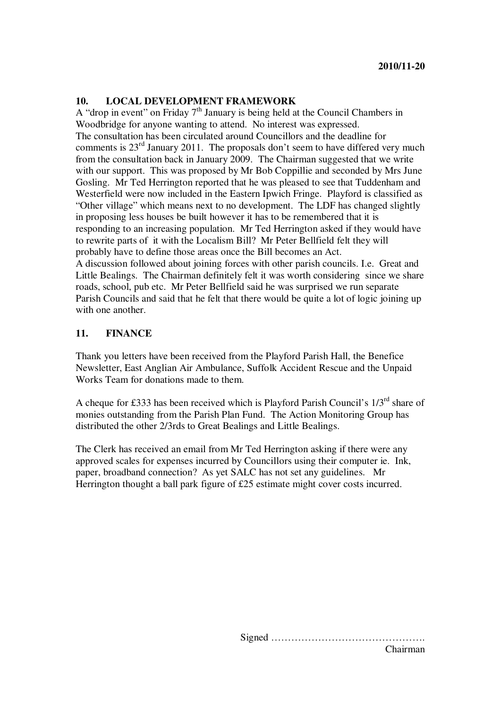#### **10. LOCAL DEVELOPMENT FRAMEWORK**

A "drop in event" on Friday 7<sup>th</sup> January is being held at the Council Chambers in Woodbridge for anyone wanting to attend. No interest was expressed. The consultation has been circulated around Councillors and the deadline for comments is  $23<sup>rd</sup>$  January 2011. The proposals don't seem to have differed very much from the consultation back in January 2009. The Chairman suggested that we write with our support. This was proposed by Mr Bob Coppillie and seconded by Mrs June Gosling. Mr Ted Herrington reported that he was pleased to see that Tuddenham and Westerfield were now included in the Eastern Ipwich Fringe. Playford is classified as "Other village" which means next to no development. The LDF has changed slightly in proposing less houses be built however it has to be remembered that it is responding to an increasing population. Mr Ted Herrington asked if they would have to rewrite parts of it with the Localism Bill? Mr Peter Bellfield felt they will probably have to define those areas once the Bill becomes an Act.

A discussion followed about joining forces with other parish councils. I.e. Great and Little Bealings. The Chairman definitely felt it was worth considering since we share roads, school, pub etc. Mr Peter Bellfield said he was surprised we run separate Parish Councils and said that he felt that there would be quite a lot of logic joining up with one another.

#### **11. FINANCE**

Thank you letters have been received from the Playford Parish Hall, the Benefice Newsletter, East Anglian Air Ambulance, Suffolk Accident Rescue and the Unpaid Works Team for donations made to them.

A cheque for £333 has been received which is Playford Parish Council's 1/3rd share of monies outstanding from the Parish Plan Fund. The Action Monitoring Group has distributed the other 2/3rds to Great Bealings and Little Bealings.

The Clerk has received an email from Mr Ted Herrington asking if there were any approved scales for expenses incurred by Councillors using their computer ie. Ink, paper, broadband connection? As yet SALC has not set any guidelines. Mr Herrington thought a ball park figure of £25 estimate might cover costs incurred.

> Signed ………………………………………. Chairman